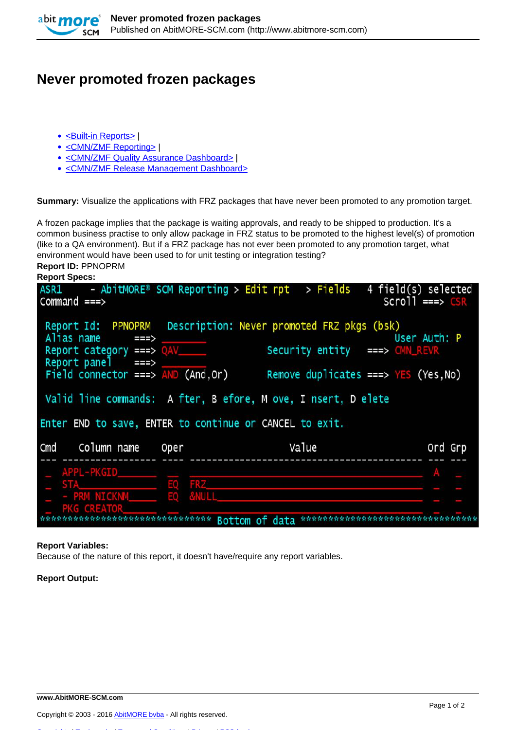

## **Never promoted frozen packages**

- [<Built-in Reports>](http://www.abitmore-scm.com/taxonomy/term/69) |
- [<CMN/ZMF Reporting>](http://www.abitmore-scm.com/taxonomy/term/12) |
- [<CMN/ZMF Quality Assurance Dashboard>](http://www.abitmore-scm.com/taxonomy/term/83) I
- [<CMN/ZMF Release Management Dashboard>](http://www.abitmore-scm.com/taxonomy/term/84)

**Summary:** Visualize the applications with FRZ packages that have never been promoted to any promotion target.

A frozen package implies that the package is waiting approvals, and ready to be shipped to production. It's a common business practise to only allow package in FRZ status to be promoted to the highest level(s) of promotion (like to a QA environment). But if a FRZ package has not ever been promoted to any promotion target, what environment would have been used to for unit testing or integration testing? **Report ID:** PPNOPRM

**Report Specs:** 

| $ASRI$ - $AbitMORE^{\circ}$ SCM Reporting > Edit rpt > Fields 4 field(s) selected<br>$Command ==$                                                                                                                                       |                    |                                                                                                | $Scro11 ==> CSR$                                       |
|-----------------------------------------------------------------------------------------------------------------------------------------------------------------------------------------------------------------------------------------|--------------------|------------------------------------------------------------------------------------------------|--------------------------------------------------------|
| Alias name<br>===><br>Report category ===> QAV<br>Report panel $==$<br>Field connector ===> $AND (And, Or)$<br>Valid line commands: A fter, B efore, M ove, I nsert, D elete<br>Enter END to save, ENTER to continue or CANCEL to exit. |                    | Report Id: PPNOPRM Description: Never promoted FRZ pkgs (bsk)<br>Security entity ===> CMN_REVR | User Auth: P<br>Remove duplicates ===> $YES$ (Yes, No) |
| Cmd Column name                                                                                                                                                                                                                         | Oper               | Value                                                                                          | Ord Grp                                                |
| APPL-PKGID_______<br>STA <b>STA</b><br>- PRM NICKNM<br><b>PKG CREATOR</b>                                                                                                                                                               | EQ FRZ<br>EO &NULL |                                                                                                |                                                        |

## **Report Variables:**

Because of the nature of this report, it doesn't have/require any report variables.

**Report Output:**